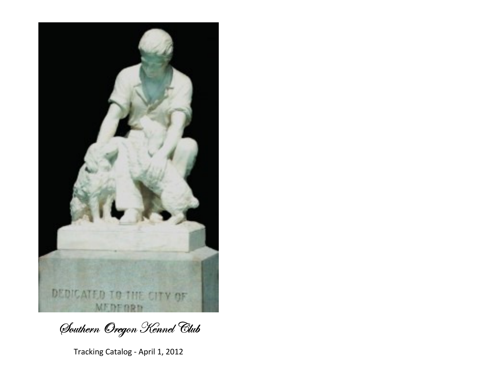

Southern Oregon Kennel Club

Tracking Catalog - April 1, 2012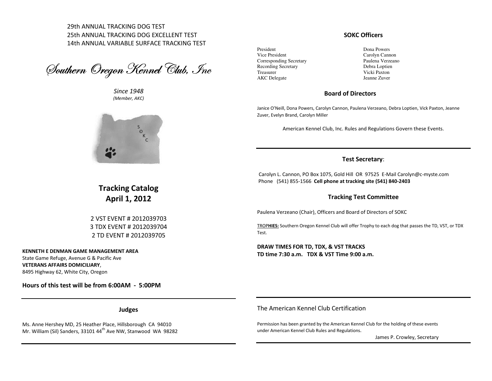29th ANNUAL TRACKING DOG TEST 25th ANNUAL TRACKING DOG EXCELLENT TEST 14th ANNUAL VARIABLE SURFACE TRACKING TEST

Southern Oregon Kennel Club, Inc

Since 1948 (Member, AKC)



SOKC Officers

President Vice President Corresponding Secretary Recording Secretary Treasurer AKC Delegate

Dona Powers Carolyn Cannon Paulena Verzeano Debra Loptien Vicki Paxton Jeanne Zuver

## Board of Directors

Janice O'Neill, Dona Powers, Carolyn Cannon, Paulena Verzeano, Debra Loptien, Vick Paxton, Jeanne Zuver, Evelyn Brand, Carolyn Miller

American Kennel Club, Inc. Rules and Regulations Govern these Events.

### Test Secretary:

Carolyn L. Cannon, PO Box 1075, Gold Hill OR 97525 E-Mail Carolyn@c-myste.com Phone (541) 855-1566 Cell phone at tracking site (541) 840-2403

### Tracking Test Committee

Paulena Verzeano (Chair), Officers and Board of Directors of SOKC

TROPHIES: Southern Oregon Kennel Club will offer Trophy to each dog that passes the TD, VST, or TDX Test.

DRAW TIMES FOR TD, TDX, & VST TRACKS TD time 7:30 a.m. TDX & VST Time 9:00 a.m.

Tracking Catalog April 1, 2012

2 VST EVENT # 2012039703 3 TDX EVENT # 20120397042 TD EVENT # 2012039705

KENNETH E DENMAN GAME MANAGEMENT AREA State Game Refuge, Avenue G & Pacific Ave VETERANS AFFAIRS DOMICILIARY, 8495 Highway 62, White City, Oregon

Hours of this test will be from 6:00AM - 5:00PM

Judges

Ms. Anne Hershey MD, 25 Heather Place, Hillsborough CA 94010 Mr. William (Sil) Sanders, 33101 44<sup>th</sup> Ave NW, Stanwood WA 98282 The American Kennel Club Certification

Permission has been granted by the American Kennel Club for the holding of these events under American Kennel Club Rules and Regulations.

James P. Crowley, Secretary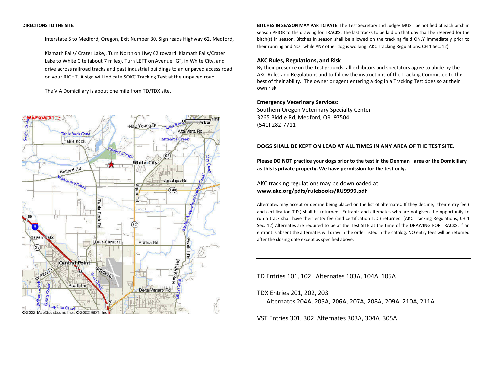#### DIRECTIONS TO THE SITE:

Interstate 5 to Medford, Oregon, Exit Number 30. Sign reads Highway 62, Medford,

 Klamath Falls/ Crater Lake,. Turn North on Hwy 62 toward Klamath Falls/Crater Lake to White Cite (about 7 miles). Turn LEFT on Avenue "G", in White City, and drive across railroad tracks and past industrial buildings to an unpaved access road on your RIGHT. A sign will indicate SOKC Tracking Test at the unpaved road.

The V A Domiciliary is about one mile from TD/TDX site.



BITCHES IN SEASON MAY PARTICIPATE. The Test Secretary and Judges MUST be notified of each bitch in season PRIOR to the drawing for TRACKS. The last tracks to be laid on that day shall be reserved for the bitch(s) in season. Bitches in season shall be allowed on the tracking field ONLY immediately prior totheir running and NOT while ANY other dog is working. AKC Tracking Regulations, CH 1 Sec. 12)

#### AKC Rules, Regulations, and Risk

By their presence on the Test grounds, all exhibitors and spectators agree to abide by the AKC Rules and Regulations and to follow the instructions of the Tracking Committee to the best of their ability. The owner or agent entering a dog in a Tracking Test does so at their own risk.

#### Emergency Veterinary Services:

Southern Oregon Veterinary Specialty Center 3265 Biddle Rd, Medford, OR 97504 (541) 282-7711

### DOGS SHALL BE KEPT ON LEAD AT ALL TIMES IN ANY AREA OF THE TEST SITE.

Please DO NOT practice your dogs prior to the test in the Denman area or the Domiciliary as this is private property. We have permission for the test only.

AKC tracking regulations may be downloaded at: www.akc.org/pdfs/rulebooks/RU9999.pdf

Alternates may accept or decline being placed on the list of alternates. If they decline, their entry fee ( and certification T.D.) shall be returned. Entrants and alternates who are not given the opportunity to run a track shall have their entry fee (and certification T.D.) returned. (AKC Tracking Regulations, CH 1 Sec. 12) Alternates are required to be at the Test SITE at the time of the DRAWING FOR TRACKS. If an entrant is absent the alternates will draw in the order listed in the catalog. NO entry fees will be returned after the closing date except as specified above.

TD Entries 101, 102 Alternates 103A, 104A, 105A

TDX Entries 201, 202, 203

Alternates 204A, 205A, 206A, 207A, 208A, 209A, 210A, 211A

VST Entries 301, 302 Alternates 303A, 304A, 305A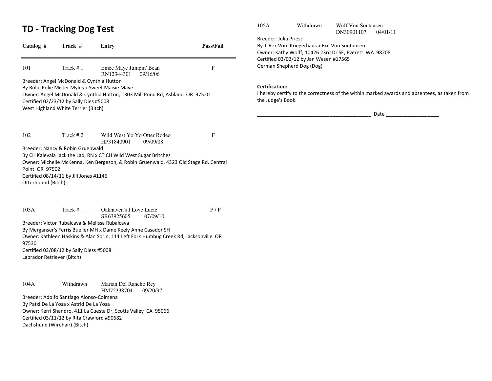## TD - Tracking Dog Test

| Catalog #                  | Track #                                       | <b>Entry</b>                                                                         | Pass/Fail |
|----------------------------|-----------------------------------------------|--------------------------------------------------------------------------------------|-----------|
| 101                        | Track #1                                      | Emee Maye Jumpin' Bean<br>RN12344301<br>09/16/06                                     | F         |
|                            | Breeder: Angel McDonald & Cynthia Hutton      |                                                                                      |           |
|                            |                                               | By Rolie Polie Mister Myles x Sweet Maisie Maye                                      |           |
|                            | Certified 02/23/12 by Sally Dies #5008        | Owner: Angel McDonald & Cynthia Hutton, 1303 Mill Pond Rd, Ashland OR 97520          |           |
|                            | West Highland White Terrier (Bitch)           |                                                                                      |           |
|                            |                                               |                                                                                      |           |
| 102                        | Track #2                                      | Wild West Yo Yo Otter Rodeo<br>09/09/08<br>HP31840901                                | F         |
|                            | Breeder: Nancy & Robin Gruenwald              |                                                                                      |           |
|                            |                                               | By CH Kalevala Jack the Lad, RN x CT CH Wild West Sugar Britches                     |           |
| Point OR 97502             |                                               | Owner: Michelle McKenna, Ken Bergeson, & Robin Gruenwald, 4323 Old Stage Rd, Central |           |
|                            | Certified 08/14/11 by Jill Jones #1146        |                                                                                      |           |
| Otterhound (Bitch)         |                                               |                                                                                      |           |
| 103A                       | Track $#$                                     | Oakhaven's I Love Lucie                                                              | P/F       |
|                            |                                               | SR63925605<br>07/09/10                                                               |           |
|                            | Breeder: Victor Rubalcava & Melissa Rubalcava |                                                                                      |           |
|                            |                                               | By Merganser's Ferris Bueller MH x Dame Keely Anne Casador SH                        |           |
| 97530                      |                                               | Owner: Kathleen Haskins & Alan Sorin, 111 Left Fork Humbug Creek Rd, Jacksonville OR |           |
|                            | Certified 03/08/12 by Sally Diess #5008       |                                                                                      |           |
| Labrador Retriever (Bitch) |                                               |                                                                                      |           |
| 104A                       | Withdrawn                                     | Marian Del Rancho Rey                                                                |           |
|                            | Breeder: Adolfo Santiago Alonso-Colmena       | HM72338704<br>09/20/97                                                               |           |
|                            |                                               |                                                                                      |           |

By Patxi De La Yosa x Astrid De La Yosa Owner: Kerri Shandro, 411 La Cuesta Dr, Scotts Valley CA 95066 Certified 03/11/12 by Rita Crawford #90682 Dachshund (Wirehair) (Bitch)

105A Withdrawn Wulf Von Sontausen

DN30901107 04/01/11

Breeder: Julia Priest By T-Rex Vom Kriegerhaus x Rixi Von Sontausen Owner: Kathy Wolff, 10426 23rd Dr SE, Everett WA 98208 Certified 03/02/12 by Jan Wesen #17565 German Shepherd Dog (Dog)

## Certification:

 I hereby certify to the correctness of the within marked awards and absentees, as taken from the Judge's Book.

\_\_\_\_\_\_\_\_\_\_\_\_\_\_\_\_\_\_\_\_\_\_\_\_\_\_\_\_\_\_\_\_\_\_\_\_\_\_\_\_\_ Date \_\_\_\_\_\_\_\_\_\_\_\_\_\_\_\_\_\_\_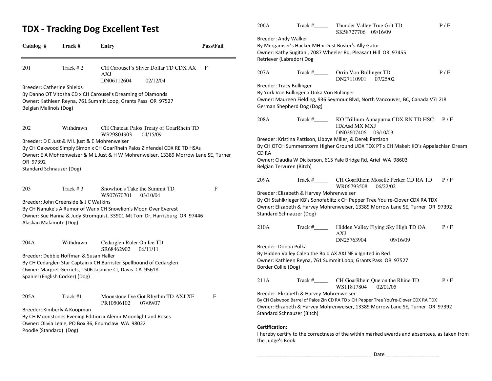## TDX - Tracking Dog Excellent Test

| Catalog #               | Track #                                       | Entry                                                                                                                                       | Pass/Fail |
|-------------------------|-----------------------------------------------|---------------------------------------------------------------------------------------------------------------------------------------------|-----------|
| 201                     | Track #2                                      | CH Carousel's Sliver Dollar TD CDX AX<br>AXJ<br>DN06112604<br>02/12/04                                                                      | F         |
|                         | <b>Breeder: Catherine Shields</b>             |                                                                                                                                             |           |
|                         |                                               | By Danno OT Vitosha CD x CH Carousel's Dreaming of Diamonds                                                                                 |           |
|                         |                                               | Owner: Kathleen Reyna, 761 Summit Loop, Grants Pass OR 97527                                                                                |           |
| Belgian Malinois (Dog)  |                                               |                                                                                                                                             |           |
|                         |                                               |                                                                                                                                             |           |
| 202                     | Withdrawn                                     | CH Chateau Palos Treaty of GoarRhein TD<br>WS29804903<br>04/15/09                                                                           |           |
|                         | Breeder: D E Just & M L just & E Mohrenweiser |                                                                                                                                             |           |
|                         |                                               | By CH Oakwood Simply Simon x CH GoarRhein Palos Zinfendel CDX RE TD HSAs                                                                    |           |
|                         |                                               | Owner: E A Mohrenweiser & M L Just & H W Mohrenweiser, 13389 Morrow Lane SE, Turner                                                         |           |
| OR 97392                |                                               |                                                                                                                                             |           |
|                         | Standard Schnauzer (Dog)                      |                                                                                                                                             |           |
|                         |                                               |                                                                                                                                             |           |
| 203                     | Track $# 3$                                   | Snowlion's Take the Summit TD                                                                                                               | F         |
|                         |                                               | WS07670701<br>03/10/04                                                                                                                      |           |
|                         | Breeder: John Greenside & J C Watkins         |                                                                                                                                             |           |
|                         |                                               | By CH Nanuke's A Rumor of War x CH Snowlion's Moon Over Everest<br>Owner: Sue Hanna & Judy Stromquist, 33901 Mt Tom Dr, Harrisburg OR 97446 |           |
| Alaskan Malamute (Dog)  |                                               |                                                                                                                                             |           |
|                         |                                               |                                                                                                                                             |           |
| 204A                    | Withdrawn                                     | Cedarglen Ruler On Ice TD                                                                                                                   |           |
|                         |                                               | SR68462902<br>06/11/11                                                                                                                      |           |
|                         | Breeder: Debbie Hoffman & Susan Haller        |                                                                                                                                             |           |
|                         |                                               | By CH Cedarglen Star Captain x CH Barrister Spellbound of Cedarglen                                                                         |           |
|                         |                                               | Owner: Margret Gerriets, 1506 Jasmine Ct, Davis CA 95618                                                                                    |           |
|                         | Spaniel (English Cocker) (Dog)                |                                                                                                                                             |           |
|                         |                                               |                                                                                                                                             |           |
| 205A                    | Track #1                                      | Moonstone I've Got Rhythm TD AXJ XF<br>07/09/07                                                                                             | F         |
|                         | Breeder: Kimberly A Koopman                   | PR10506102                                                                                                                                  |           |
|                         |                                               | By CH Moonstones Evening Edition x Alemir Moonlight and Roses                                                                               |           |
|                         |                                               | Owner: Olivia Leale, PO Box 36, Enumclaw WA 98022                                                                                           |           |
| Poodle (Standard) (Dog) |                                               |                                                                                                                                             |           |
|                         |                                               |                                                                                                                                             |           |

| 206A                                                                                                                                                                                                                                                   | $\text{Track}\#$ <sub>______</sub> | Thunder Valley True Grit TD<br>SK58727706 09/16/09                                                                         | P/F |  |  |  |
|--------------------------------------------------------------------------------------------------------------------------------------------------------------------------------------------------------------------------------------------------------|------------------------------------|----------------------------------------------------------------------------------------------------------------------------|-----|--|--|--|
| Breeder: Andy Walker<br>By Mergamser's Hacker MH x Dust Buster's Ally Gator<br>Owner: Kathy Sugitani, 7087 Wheeler Rd, Pleasant Hill OR 97455<br>Retriever (Labrador) Dog                                                                              |                                    |                                                                                                                            |     |  |  |  |
| 207A                                                                                                                                                                                                                                                   |                                    | Track #_________ Orrin Von Bullinger TD<br>DN27110901<br>07/25/02                                                          | P/F |  |  |  |
| <b>Breeder: Tracy Bullinger</b><br>By York Von Bullinger x Unka Von Bullinger<br>Owner: Maureen Fielding, 936 Seymour Blvd, North Vancouver, BC, Canada V7J 2J8<br>German Shepherd Dog (Dog)                                                           |                                    |                                                                                                                            |     |  |  |  |
| 208A                                                                                                                                                                                                                                                   | $\text{Track}$ #                   | KO Trillium Annapurna CDX RN TD HSC<br><b>HXAsd MX MXJ</b><br>DN02607406<br>03/10/03                                       | P/F |  |  |  |
| Breeder: Kristina Pattison, Libbye Miller, & Derek Pattison<br>By CH OTCH Summerstorm Higher Ground UDX TDX PT x CH Makeit KO's Appalachian Dream<br><b>CD RA</b>                                                                                      |                                    |                                                                                                                            |     |  |  |  |
| Owner: Claudia W Dickerson, 615 Yale Bridge Rd, Ariel WA 98603<br>Belgian Tervuren (Bitch)                                                                                                                                                             |                                    |                                                                                                                            |     |  |  |  |
| 209A                                                                                                                                                                                                                                                   | $\text{Track}$ #                   | CH GoarRhein Moselle Perker CD RA TD<br>WR06793508<br>06/22/02                                                             | P/F |  |  |  |
| Breeder: Elizabeth & Harvey Mohrenweiser<br>By CH Stahlkrieger KB's Sonofablitz x CH Pepper Tree You're-Clover CDX RA TDX<br>Owner: Elizabeth & Harvey Mohrenweiser, 13389 Morrow Lane SE, Turner OR 97392<br>Standard Schnauzer (Dog)                 |                                    |                                                                                                                            |     |  |  |  |
| 210A                                                                                                                                                                                                                                                   | Track #                            | Hidden Valley Flying Sky High TD OA<br>AXJ<br>DN25763904<br>09/16/09                                                       | P/F |  |  |  |
| Breeder: Donna Polka<br>Border Collie (Dog)                                                                                                                                                                                                            |                                    | By Hidden Valley Caleb the Bold AX AXJ NF x Ignited in Red<br>Owner: Kathleen Reyna, 761 Summit Loop, Grants Pass OR 97527 |     |  |  |  |
| 211A                                                                                                                                                                                                                                                   | Track #                            | CH GoarRhein Oue on the Rhine TD<br>WS11817804<br>02/01/05                                                                 | P/F |  |  |  |
| Breeder: Elizabeth & Harvey Mohrenweiser<br>By CH Oakwood Barrel of Palos Zin CD RA TD x CH Pepper Tree You're-Clover CDX RA TDX<br>Owner: Elizabeth & Harvey Mohrenweiser, 13389 Morrow Lane SE, Turner OR 97392<br><b>Standard Schnauzer (Bitch)</b> |                                    |                                                                                                                            |     |  |  |  |
| <b>Certification:</b>                                                                                                                                                                                                                                  |                                    |                                                                                                                            |     |  |  |  |

 I hereby certify to the correctness of the within marked awards and absentees, as taken from the Judge's Book.